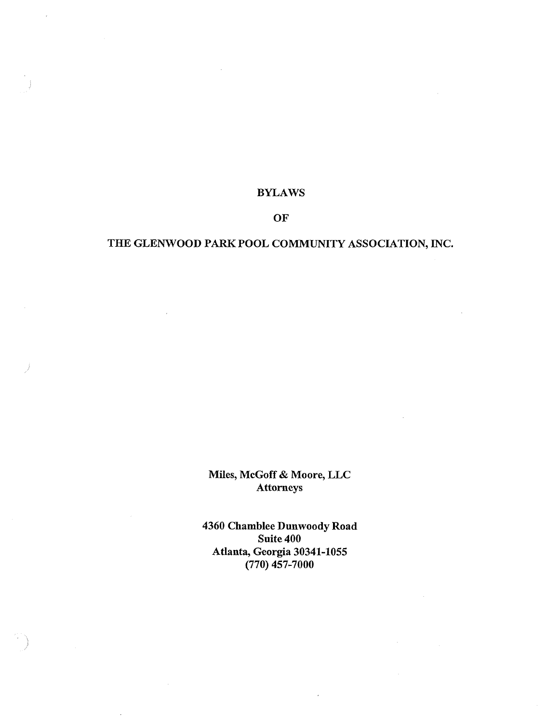#### **BYLAWS**

### **OF**

# **THE GLENWOOD PARK POOL COMMUNITY ASSOCIATION, INC.**

## **Miles, McGoff & Moore, LLC Attorneys**

**4360 Chamblee Dunwoody Road Suite 400 Atlanta, Georgia 30341-1055 (770) 457-7000**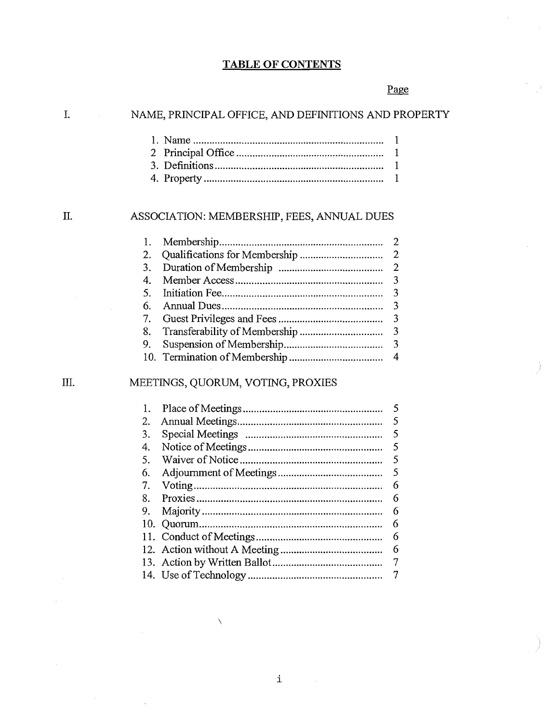## TABLE OF CONTENTS

# Page

| I.<br>NAME, PRINCIPAL OFFICE, AND DEFINITIONS AND PROPERTY |                                            |                |  |
|------------------------------------------------------------|--------------------------------------------|----------------|--|
|                                                            |                                            | 1              |  |
|                                                            | 2                                          | $\mathbf{1}$   |  |
|                                                            |                                            | $\mathbf{1}$   |  |
|                                                            |                                            | $\mathbf{1}$   |  |
|                                                            |                                            |                |  |
| П.                                                         | ASSOCIATION: MEMBERSHIP, FEES, ANNUAL DUES |                |  |
|                                                            | 1.                                         | $\overline{2}$ |  |
|                                                            | 2.                                         | $\overline{2}$ |  |
|                                                            | 3.                                         | $\overline{2}$ |  |
|                                                            | $\overline{4}$ .                           | 3              |  |
|                                                            | 5.                                         | 3              |  |
|                                                            | 6.                                         | 3              |  |
|                                                            | 7.                                         | 3              |  |
|                                                            | 8.                                         | 3              |  |
|                                                            | 9.                                         | 3              |  |
|                                                            | 10.                                        | 4              |  |
| Ш.                                                         | MEETINGS, QUORUM, VOTING, PROXIES          |                |  |
|                                                            | 1.                                         | 5              |  |
|                                                            | 2.                                         | 5              |  |
|                                                            | 3.                                         | 5              |  |
|                                                            | 4.                                         | 5              |  |
|                                                            | 5.                                         | 5              |  |
|                                                            | 6.                                         | 5              |  |
|                                                            | 7.                                         | 6              |  |
|                                                            | 8.                                         | 6              |  |
|                                                            | 9.                                         | 6              |  |
|                                                            | 10.                                        | 6              |  |
|                                                            | 11.                                        | 6              |  |
|                                                            |                                            | 6              |  |
|                                                            |                                            | $\overline{7}$ |  |
|                                                            |                                            | $\overline{7}$ |  |

 $\bar{\mathcal{A}}$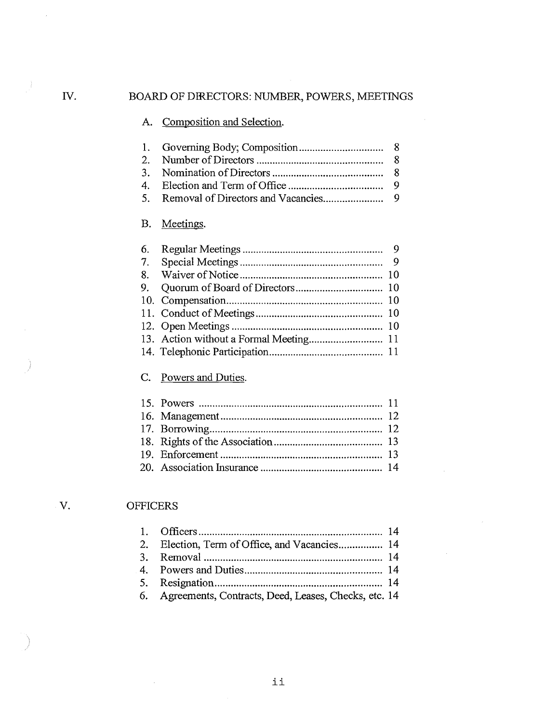## A. Composition and Selection.

# B. Meetings.

| 6. |  |
|----|--|
|    |  |
| 8. |  |
| 9. |  |
|    |  |
|    |  |
|    |  |
|    |  |
|    |  |
|    |  |

# C. Powers and Duties.

# V. OFFICERS

| 2. Election, Term of Office, and Vacancies 14           |  |
|---------------------------------------------------------|--|
|                                                         |  |
|                                                         |  |
|                                                         |  |
| 6. Agreements, Contracts, Deed, Leases, Checks, etc. 14 |  |

 $\hat{\boldsymbol{\beta}}$ 

J)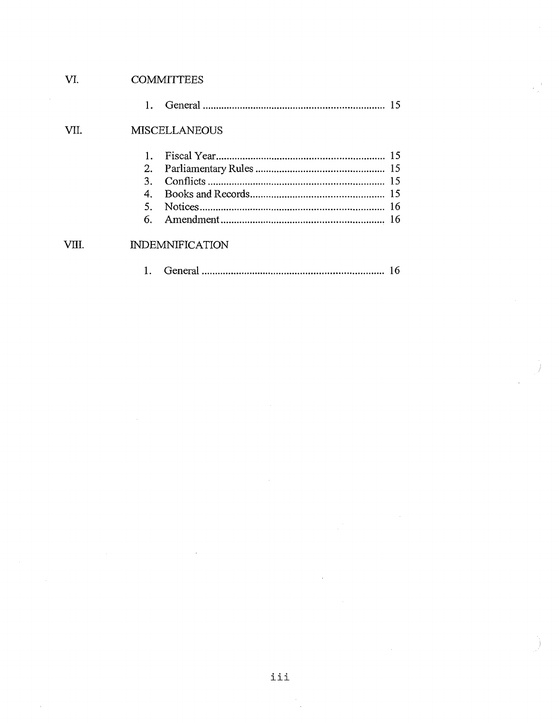| VI.   |         | <b>COMMITTEES</b>      |    |
|-------|---------|------------------------|----|
|       | 1.      |                        |    |
| VII.  |         | <b>MISCELLANEOUS</b>   |    |
|       |         |                        |    |
|       | 2.      |                        |    |
|       | $3_{-}$ |                        |    |
|       | 4.      |                        |    |
|       | 5.      |                        |    |
|       |         |                        |    |
| VIII. |         | <b>INDEMNIFICATION</b> |    |
|       |         |                        | 16 |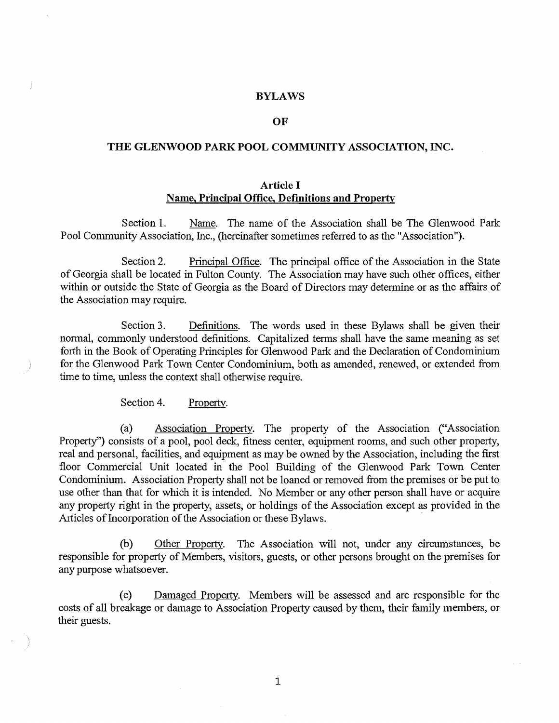#### BYLAWS

#### OF

#### THE GLENWOOD PARK POOL COMMUNITY ASSOCIATION, INC.

#### Article I Name, Principal Office, Defmitions and Property

Section 1. Name. The name of the Association shall be The Glenwood Park Pool Community Association, Inc., (hereinafter sometimes referred to as the "Association").

Section 2. Principal Office. The principal office of the Association in the State of Georgia shall be located in Fulton County. The Association may have such other offices, either within or outside the State of Georgia as the Board of Directors may determine or as the affairs of the Association may require.

Section 3. Definitions. The words used in these Bylaws shall be given their normal, commonly understood definitions. Capitalized terms shall have the same meaning as set forth in the Book of Operating Principles for Glenwood Park and the Declaration of Condominium for the Glenwood Park Town Center Condominium, both as amended, renewed, or extended from time to time, unless the context shall otherwise require.

Section 4. Property.

(a) Association Property. The property of the Association ("Association Property") consists of a pool, pool deck, fitness center, equipment rooms, and such other property, real and personal, facilities, and equipment as may be owned by the Association, including the first floor Commercial Unit located in the Pool Building of the Glenwood Park Town Center Condominium. Association Property shall not be loaned or removed from the premises or be put to use other than that for which it is intended. No Member or any other person shall have or acquire any property right in the property, assets, or holdings of the Association except as provided in the Articles of Incorporation of the Association or these Bylaws.

(b) Other Property. The Association will not, under any circumstances, be responsible for property of Members, visitors, guests, or other persons brought on the premises for any purpose whatsoever.

(c) Damaged Property. Members will be assessed and are responsible for the costs of all breakage or damage to Association Property caused by them, their family members, or their guests.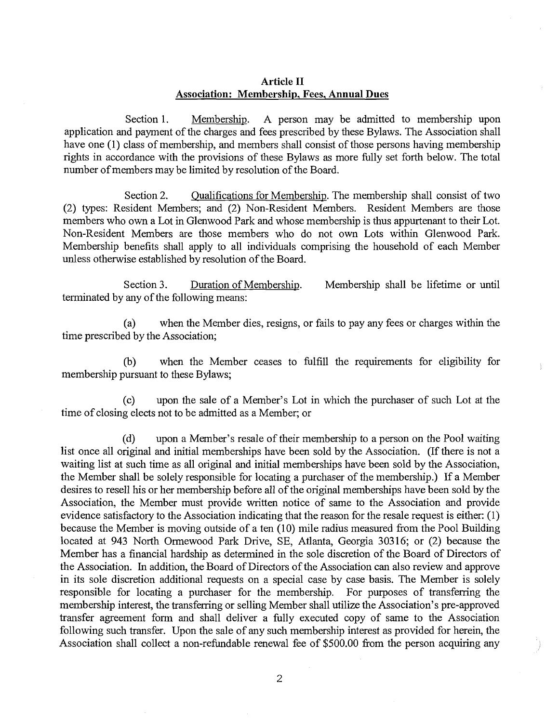#### **Article II Association: Membership, Fees, Annual Dues**

Section 1. Membership. A person may be admitted to membership upon application and payment of the charges and fees prescribed by these Bylaws. The Association shall have one (1) class of membership, and members shall consist of those persons having membership rights in accordance with the provisions of these Bylaws as more fully set forth below. The total number of members may be limited by resolution of the Board.

Section 2. Qualifications for Membership. The membership shall consist of two (2) types: Resident Members; and (2) Non-Resident Members. Resident Members are those members who own a Lot in Glenwood Park and whose membership is thus appurtenant to their Lot. Non-Resident Members are those members who do not own Lots within Glenwood Park. Membership benefits shall apply to all individuals comprising the household of each Member unless otherwise established by resolution of the Board.

Section 3. Duration of Membership. Membership shall be lifetime or until terminated by any of the following means:

(a) when the Member dies, resigns, or fails to pay any fees or charges within the time prescribed by the Association;

(b) when the Member ceases to fulfill the requirements for eligibility for membership pursuant to these Bylaws;

(c) upon the sale of a Member's Lot in which the purchaser of such Lot at the time of closing elects not to be admitted as a Member; or

(d) upon a Member's resale of their membership to a person on the Pool waiting list once all original and initial memberships have been sold by the Association. (If there is not a waiting list at such time as all original and initial memberships have been sold by the Association, the Member shall be solely responsible for locating a purchaser of the membership.) If a Member desires to resell his or her membership before all of the original memberships have been sold by the Association, the Member must provide written notice of same to the Association and provide evidence satisfactory to the Association indicating that the reason for the resale request is either: (1) because the Member is moving outside of a ten (10) mile radius measured from the Pool Building located at 943 North Ormewood Park Drive, SE, Atlanta, Georgia 30316; or (2) because the Member has a financial hardship as determined in the sole discretion of the Board of Directors of the Association. In addition, the Board of Directors of the Association can also review and approve in its sole discretion additional requests on a special case by case basis. The Member is solely responsible for locating a purchaser for the membership. For purposes of transferring the membership interest, the transferring or selling Member shall utilize the Association's pre-approved transfer agreement form and shall deliver a fully executed copy of same to the Association following such transfer. Upon the sale of any such membership interest as provided for herein, the Association shall collect a non-refundable renewal fee of \$500.00 from the person acquiring any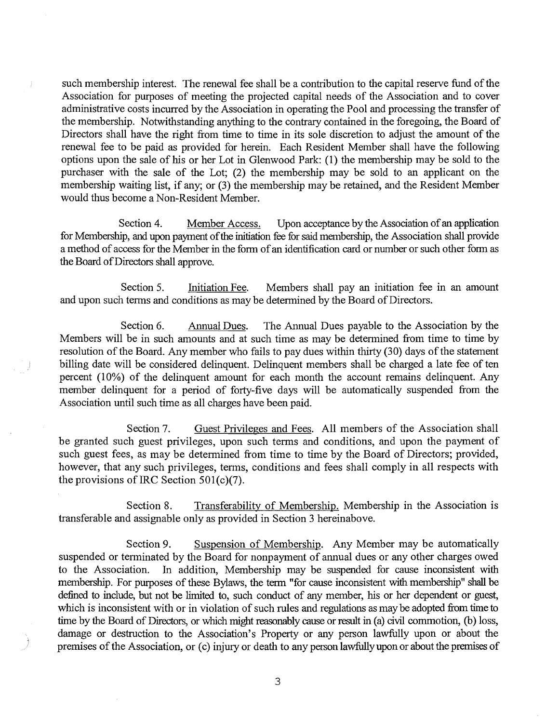such membership interest. The renewal fee shall be a contribution to the capital reserve fund of the Association for purposes of meeting the projected capital needs of the Association and to cover administrative costs incurred by the Association in operating the Pool and processing the transfer of the membership. Notwithstanding anything to the contrary contained in the foregoing, the Board of Directors shall have the right from time to time in its sole discretion to adjust the amount of the renewal fee to be paid as provided for herein. Each Resident Member shall have the following options upon the sale of his or her Lot in Glenwood Park: (1) the membership may be sold to the purchaser with the sale of the Lot; (2) the membership may be sold to an applicant on the membership waiting list, if any; or (3) the membership may be retained, and the Resident Member would thus become a Non-Resident Member.

Ĵ.

Section 4. Member Access. Upon acceptance by the Association of an application for Membership, and upon payment of the initiation fee for said membership, the Association shall provide a method of access for the Member in the form of an identification card or number or such other form as the Board of Directors shall approve.

Section 5. Initiation Fee. Members shall pay an initiation fee in an amount and upon such terms and conditions as may be determined by the Board of Directors.

Section 6. Annual Dues. The Annual Dues payable to the Association by the Members will be in such amounts and at such time as may be determined from time to time by resolution of the Board. Any member who fails to pay dues within thirty (30) days of the statement billing date will be considered delinquent. Delinquent members shall be charged a late fee of ten percent (10%) of the delinquent amount for each month the account remains delinquent. Any member delinquent for a period of forty-five days will be automatically suspended from the Association until such time as all charges have been paid.

Section 7. Guest Privileges and Fees. All members of the Association shall be granted such guest privileges, upon such terms and conditions, and upon the payment of such guest fees, as may be determined from time to time by the Board of Directors; provided, however, that any such privileges, terms, conditions and fees shall comply in all respects with the provisions of IRC Section 501(c)(7).

Section 8. Transferability of Membership. Membership in the Association is transferable and assignable only as provided in Section 3 hereinabove.

Section 9. Suspension of Membership. Any Member may be automatically suspended or terminated by the Board for nonpayment of annual dues or any other charges owed to the Association. In addition, Membership may be suspended for cause inconsistent with membership. For purposes of these Bylaws, the term "for cause inconsistent with membership" shall be defined to include, but not be limited to, such conduct of any member, his or her dependent or guest, which is inconsistent with or in violation of such rules and regulations as may be adopted from time to time by the Board of Directors, or which might reasonably cause or result in (a) civil commotion, (b) loss, damage or destruction to the Association's Property or any person lawfully upon or about the premises of the Association, or (c) injury or death to any person lawfully upon or about the premises of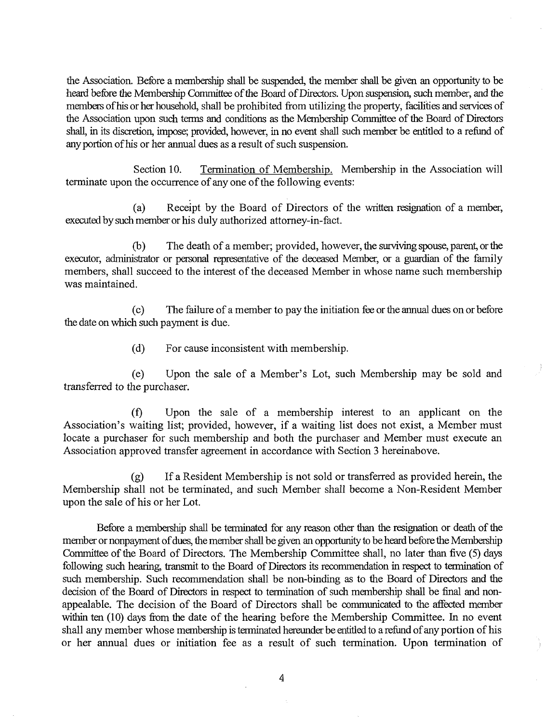the Association. Before a membership shall be suspended, the member shall be given an opportunity to be heard before the Membership Committee of the Board of Directors. Upon suspension, such member, and the members of his or her household, shall be prohibited from utilizing the property, facilities and services of the Association upon such terms and conditions as the Membership Committee of the Board of Directors shall, in its discretion, impose; provided, however, in no event shall such member be entitled to a refund of any portion of his or her annual dues as a result of such suspension.

Section 10. Termination of Membership. Membership in the Association will terminate upon the occurrence of any one of the following events:

(a) Receipt by the Board of Directors of the written resignation of a member, executed by such member or his duly authorized attorney-in-fact.

(b) The death of a member; provided, however, the surviving spouse, parent, or the executor, administrator or personal representative of the deceased Member, or a guardian of the family members, shall succeed to the interest of the deceased Member in whose name such membership was maintained.

(c) The failure of a member to pay the initiation fee or the annual dues on or before the date on which such payment is due.

(d) For cause inconsistent with membership.

(e) Upon the sale of a Member's Lot, such Membership may be sold and transferred to the purchaser.

(f) Upon the sale of a membership interest to an applicant on the Association's waiting list; provided, however, if a waiting list does not exist, a Member must locate a purchaser for such membership and both the purchaser and Member must execute an Association approved transfer agreement in accordance with Section 3 hereinabove.

(g) If a Resident Membership is not sold or transferred as provided herein, the Membership shall not be terminated, and such Member shall become a Non-Resident Member upon the sale of his or her Lot.

Before a membership shall be terminated for any reason other than the resignation or death of the member or nonpayment of dues, the member shall be given an opportunity to be heard before the Membership Committee of the Board of Directors. The Membership Committee shall, no later than five (5) days following such hearing, transmit to the Board of Directors its recommendation in respect to termination of such membership. Such recommendation shall be non-binding as to the Board of Directors and the decision of the Board of Directors in respect to termination of such membership shall be final and nonappealable. The decision of the Board of Directors shall be communicated to the affected member within ten (10) days from the date of the hearing before the Membership Committee. In no event shall any member whose membership is terminated hereunder be entitled to a refund of any portion of his or her annual dues or initiation fee as a result of such termination. Upon termination of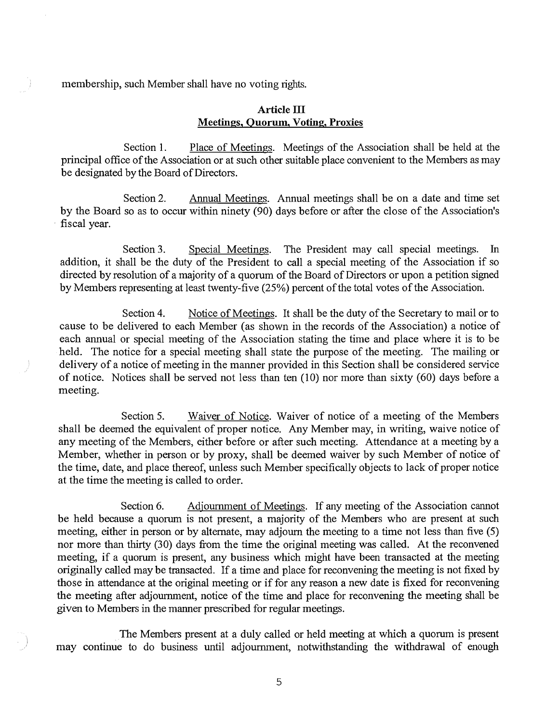membership, such Member shall have no voting rights.

#### **Article III Meetings, Quorum, Voting, Proxies**

Section 1. Place of Meetings. Meetings of the Association shall be held at the principal office of the Association or at such other suitable place convenient to the Members as may be designated by the Board of Directors.

Section 2. Annual Meetings. Annual meetings shall be on a date and time set by the Board so as to occur within ninety (90) days before or after the close of the Association's fiscal year.

Section 3. Special Meetings. The President may call special meetings. In addition, it shall be the duty of the President to call a special meeting of the Association if so directed by resolution of a majority of a quorum of the Board of Directors or upon a petition signed by Members representing at least twenty-five (25%) percent of the total votes of the Association.

Section 4. Notice of Meetings. It shall be the duty of the Secretary to mail or to cause to be delivered to each Member (as shown in the records of the Association) a notice of each annual or special meeting of the Association stating the time and place where it is to be held. The notice for a special meeting shall state the purpose of the meeting. The mailing or delivery of a notice of meeting in the manner provided in this Section shall be considered service of notice. Notices shall be served not less than ten (10) nor more than sixty (60) days before a meeting.

Section 5. Waiver of Notice. Waiver of notice of a meeting of the Members shall be deemed the equivalent of proper notice. Any Member may, in writing, waive notice of any meeting of the Members, either before or after such meeting. Attendance at a meeting by a Member, whether in person or by proxy, shall be deemed waiver by such Member of notice of the time, date, and place thereof, unless such Member specifically objects to lack of proper notice at the time the meeting is called to order.

Section 6. Adjournment of Meetings. If any meeting of the Association cannot be held because a quorum is not present, a majority of the Members who are present at such meeting, either in person or by alternate, may adjourn the meeting to a time not less than five (5) nor more than thirty (30) days from the time the original meeting was called. At the reconvened meeting, if a quorum is present, any business which might have been transacted at the meeting originally called may be transacted. If a time and place for reconvening the meeting is not fixed by those in attendance at the original meeting or if for any reason a new date is fixed for reconvening the meeting after adjournment, notice of the time and place for reconvening the meeting shall be given to Members in the manner prescribed for regular meetings.

The Members present at a duly called or held meeting at which a quorum is present may continue to do business until adjournment, notwithstanding the withdrawal of enough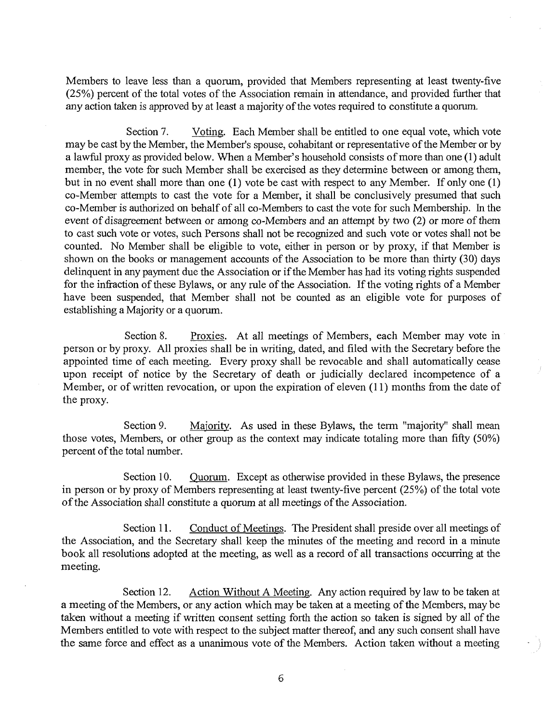Members to leave less than a quorum, provided that Members representing at least twenty-five (25%) percent of the total votes of the Association remain in attendance, and provided further that any action taken is approved by at least a majority of the votes required to constitute a quorum.

Section 7. Voting. Each Member shall be entitled to one equal vote, which vote may be cast by the Member, the Member's spouse, cohabitant or representative of the Member or by a lawful proxy as provided below. When a Member's household consists of more than one (1) adult member, the vote for such Member shall be exercised as they determine between or among them, but in no event shall more than one (1) vote be cast with respect to any Member. If only one (1) co-Member attempts to cast the vote for a Member, it shall be conclusively presumed that such co-Member is authorized on behalf of all co-Members to cast the vote for such Membership. In the event of disagreement between or among co-Members and an attempt by two (2) or more of them to cast such vote or votes, such Persons shall not be recognized and such vote or votes shall not be counted. No Member shall be eligible to vote, either in person or by proxy, if that Member is shown on the books or management accounts of the Association to be more than thirty (30) days delinquent in any payment due the Association or if the Member has had its voting rights suspended for the infraction of these Bylaws, or any rule of the Association. If the voting rights of a Member have been suspended, that Member shall not be counted as an eligible vote for purposes of establishing a Majority or a quorum.

Section 8. Proxies. At all meetings of Members, each Member may vote in person or by proxy. All proxies shall be in writing, dated, and filed with the Secretary before the appointed time of each meeting. Every proxy shall be revocable and shall automatically cease upon receipt of notice by the Secretary of death or judicially declared incompetence of a Member, or of written revocation, or upon the expiration of eleven (11) months from the date of the proxy.

Section 9. Majority. As used in these Bylaws, the term "majority" shall mean those votes, Members, or other group as the context may indicate totaling more than fifty (50%) percent of the total number.

Section 10. Quorum. Except as otherwise provided in these Bylaws, the presence in person or by proxy of Members representing at least twenty-five percent (25%) of the total vote of the Association shall constitute a quorum at all meetings of the Association.

Section 11. Conduct of Meetings. The President shall preside over all meetings of the Association, and the Secretary shall keep the minutes of the meeting and record in a minute book all resolutions adopted at the meeting, as well as a record of all transactions occurring at the meeting.

Section 12. Action Without A Meeting. Any action required by law to be taken at a meeting of the Members, or any action which may be taken at a meeting of the Members, may be taken without a meeting if written consent setting forth the action so taken is signed by all of the Members entitled to vote with respect to the subject matter thereof, and any such consent shall have the same force and effect as a unanimous vote of the Members. Action taken without a meeting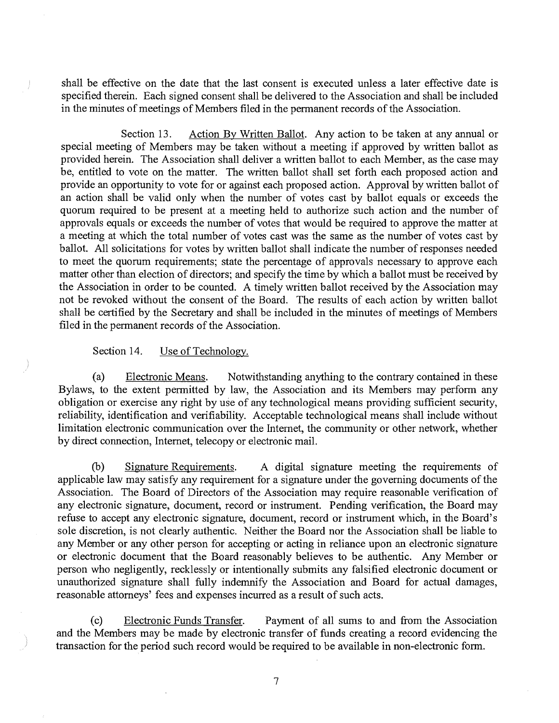shall be effective on the date that the last consent is executed unless a later effective date is specified therein. Each signed consent shall be delivered to the Association and shall be included in the minutes of meetings of Members filed in the permanent records of the Association.

Section 13. Action By Written Ballot. Any action to be taken at any annual or special meeting of Members may be taken without a meeting if approved by written ballot as provided herein. The Association shall deliver a written ballot to each Member, as the case may be, entitled to vote on the matter. The written ballot shall set forth each proposed action and provide an opportunity to vote for or against each proposed action. Approval by written ballot of an action shall be valid only when the number of votes cast by ballot equals or exceeds the quorum required to be present at a meeting held to authorize such action and the number of approvals equals or exceeds the number of votes that would be required to approve the matter at a meeting at which the total number of votes cast was the same as the number of votes cast by ballot. All solicitations for votes by written ballot shall indicate the number of responses needed to meet the quorum requirements; state the percentage of approvals necessary to approve each matter other than election of directors; and specify the time by which a ballot must be received by the Association in order to be counted. A timely written ballot received by the Association may not be revoked without the consent of the Board. The results of each action by written ballot shall be certified by the Secretary and shall be included in the minutes of meetings of Members filed in the permanent records of the Association.

#### Section 14. Use of Technology.

(a) Electronic Means. Notwithstanding anything to the contrary contained in these Bylaws, to the extent permitted by law, the Association and its Members may perform any obligation or exercise any right by use of any technological means providing sufficient security, reliability, identification and verifiability. Acceptable technological means shall include without limitation electronic communication over the Internet, the community or other network, whether by direct connection, Internet, telecopy or electronic mail.

(b) Signature Requirements. A digital signature meeting the requirements of applicable law may satisfy any requirement for a signature under the governing documents of the Association. The Board of Directors of the Association may require reasonable verification of any electronic signature, document, record or instrument. Pending verification, the Board may refuse to accept any electronic signature, document, record or instrument which, in the Board's sole discretion, is not clearly authentic. Neither the Board nor the Association shall be liable to any Member or any other person for accepting or acting in reliance upon an electronic signature or electronic document that the Board reasonably believes to be authentic. Any Member or person who negligently, recklessly or intentionally submits any falsified electronic document or unauthorized signature shall fully indemnify the Association and Board for actual damages, reasonable attorneys' fees and expenses incurred as a result of such acts.

(c) Electronic Funds Transfer. Payment of all sums to and from the Association and the Members may be made by electronic transfer of funds creating a record evidencing the transaction for the period such record would be required to be available in non-electronic form.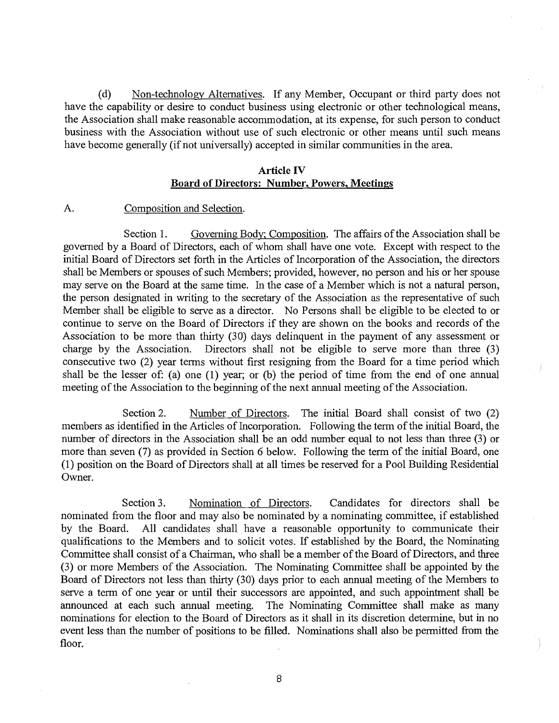(d) Non-technology Alternatives. If any Member, Occupant or third party does not have the capability or desire to conduct business using electronic or other technological means, the Association shall make reasonable accommodation, at its expense, for such person to conduct business with the Association without use of such electronic or other means until such means have become generally (if not universally) accepted in similar communities in the area.

#### Article IV Board of Directors: Number, Powers, Meetings

#### A. Composition and Selection.

Section 1. Governing Body; Composition. The affairs of the Association shall be governed by a Board of Directors, each of whom shall have one vote. Except with respect to the initial Board of Directors set forth in the Articles of Incorporation of the Association, the directors shall be Members or spouses of such Members; provided, however, no person and his or her spouse may serve on the Board at the same time. In the case of a Member which is not a natural person, the person designated in writing to the secretary of the Association as the representative of such Member shall be eligible to serve as a director. No Persons shall be eligible to be elected to or continue to serve on the Board of Directors if they are shown on the books and records of the Association to be more than thirty (30) days delinquent in the payment of any assessment or charge by the Association. Directors shall not be eligible to serve more than three (3) consecutive two (2) year terms without first resigning from the Board for a time period which shall be the lesser of: (a) one (1) year; or (b) the period of time from the end of one annual meeting of the Association to the beginning of the next annual meeting of the Association.

Section 2. Number of Directors. The initial Board shall consist of two (2) members as identified in the Articles of Incorporation. Following the term of the initial Board, the number of directors in the Association shall be an odd number equal to not less than three (3) or more than seven (7) as provided in Section 6 below. Following the term of the initial Board, one (1) position on the Board of Directors shall at all times be reserved for a Pool Building Residential Owner.

Section 3. Nomination of Directors. Candidates for directors shall be nominated from the floor and may also be nominated by a nominating committee, if established by the Board. All candidates shall have a reasonable opportunity to communicate their qualifications to the Members and to solicit votes. If established by the Board, the Nominating Committee shall consist of a Chairman, who shall be a member of the Board of Directors, and three (3) or more Members of the Association. The Nominating Committee shall be appointed by the Board of Directors not less than thirty (30) days prior to each annual meeting of the Members to serve a term of one year or until their successors are appointed, and such appointment shall be announced at each such annual meeting. The Nominating Committee shall make as many nominations for election to the Board of Directors as it shall in its discretion determine, but in no event less than the number of positions to be filled. Nominations shall also be permitted from the floor.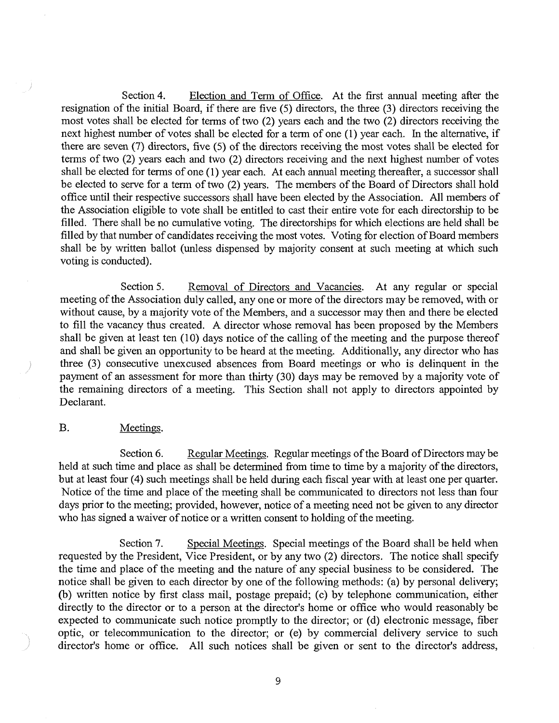Section 4. Election and Term of Office. At the first annual meeting after the resignation of the initial Board, if there are five (5) directors, the three (3) directors receiving the most votes shall be elected for terms of two (2) years each and the two (2) directors receiving the next highest number of votes shall be elected for a term of one (1) year each. In the alternative, if there are seven (7) directors, five (5) of the directors receiving the most votes shall be elected for terms of two (2) years each and two (2) directors receiving and the next highest number of votes shall be elected for terms of one (1) year each. At each annual meeting thereafter, a successor shall be elected to serve for a term of two (2) years. The members of the Board of Directors shall hold office until their respective successors shall have been elected by the Association. All members of the Association eligible to vote shall be entitled to cast their entire vote for each directorship to be filled. There shall be no cumulative voting. The directorships for which elections are held shall be filled by that number of candidates receiving the most votes. Voting for election of Board members shall be by written ballot (unless dispensed by majority consent at such meeting at which such voting is conducted).

Section 5. Removal of Directors and Vacancies. At any regular or special meeting of the Association duly called, any one or more of the directors may be removed, with or without cause, by a majority vote of the Members, and a successor may then and there be elected to fill the vacancy thus created. A director whose removal has been proposed by the Members shall be given at least ten (10) days notice of the calling of the meeting and the purpose thereof and shall be given an opportunity to be heard at the meeting. Additionally, any director who has three (3) consecutive unexcused absences from Board meetings or who is delinquent in the payment of an assessment for more than thirty (30) days may be removed by a majority vote of the remaining directors of a meeting. This Section shall not apply to directors appointed by Declarant.

#### B. Meetings.

Section 6. Regular Meetings. Regular meetings of the Board of Directors may be held at such time and place as shall be determined from time to time by a majority of the directors, but at least four (4) such meetings shall be held during each fiscal year with at least one per quarter. Notice of the time and place of the meeting shall be communicated to directors not less than four days prior to the meeting; provided, however, notice of a meeting need not be given to any director who has signed a waiver of notice or a written consent to holding of the meeting.

Section 7. Special Meetings. Special meetings of the Board shall be held when requested by the President, Vice President, or by any two (2) directors. The notice shall specify the time and place of the meeting and the nature of any special business to be considered. The notice shall be given to each director by one of the following methods: (a) by personal delivery; (b) written notice by first class mail, postage prepaid; (c) by telephone communication, either directly to the director or to a person at the director's home or office who would reasonably be expected to communicate such notice promptly to the director; or (d) electronic message, fiber optic, or telecommunication to the director; or (e) by commercial delivery service to such director's home or office. All such notices shall be given or sent to the director's address,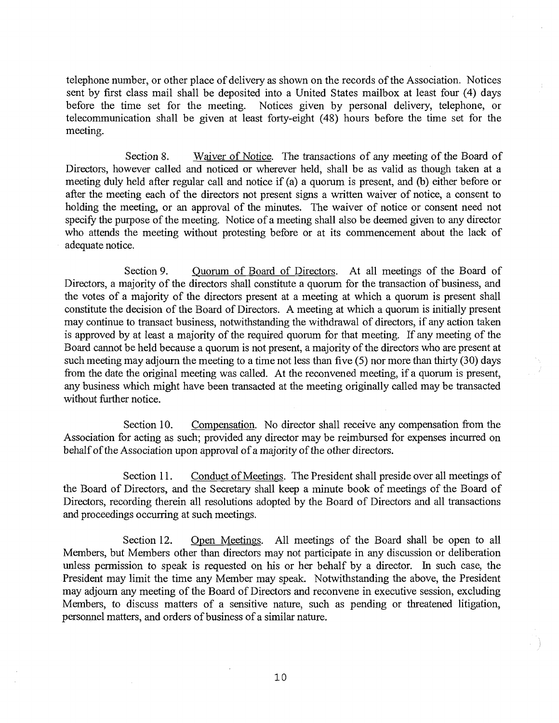telephone number, or other place of delivery as shown on the records of the Association. Notices sent by first class mail shall be deposited into a United States mailbox at least four (4) days before the time set for the meeting. Notices given by personal delivery, telephone, or telecommunication shall be given at least forty-eight (48) hours before the time set for the meeting.

Section 8. Waiver of Notice. The transactions of any meeting of the Board of Directors, however called and noticed or wherever held, shall be as valid as though taken at a meeting duly held after regular call and notice if (a) a quorum is present, and (b) either before or after the meeting each of the directors not present signs a written waiver of notice, a consent to holding the meeting, or an approval of the minutes. The waiver of notice or consent need not specify the purpose of the meeting. Notice of a meeting shall also be deemed given to any director who attends the meeting without protesting before or at its commencement about the lack of adequate notice.

Section 9. Quorum of Board of Directors. At all meetings of the Board of Directors, a majority of the directors shall constitute a quorum for the transaction of business, and the votes of a majority of the directors present at a meeting at which a quorum is present shall constitute the decision of the Board of Directors. A meeting at which a quorum is initially present may continue to transact business, notwithstanding the withdrawal of directors, if any action taken is approved by at least a majority of the required quorum for that meeting. If any meeting of the Board cannot be held because a quorum is not present, a majority of the directors who are present at such meeting may adjourn the meeting to a time not less than five (5) nor more than thirty (30) days from the date the original meeting was called. At the reconvened meeting, if a quorum is present, any business which might have been transacted at the meeting originally called may be transacted without further notice.

Section 10. Compensation. No director shall receive any compensation from the Association for acting as such; provided any director may be reimbursed for expenses incurred on behalf of the Association upon approval of a majority of the other directors.

Section 11. Conduct of Meetings. The President shall preside over all meetings of the Board of Directors, and the Secretary shall keep a minute book of meetings of the Board of Directors, recording therein all resolutions adopted by the Board of Directors and all transactions and proceedings occurring at such meetings.

Section 12. Open Meetings. All meetings of the Board shall be open to all Members, but Members other than directors may not participate in any discussion or deliberation unless permission to speak is requested on his or her behalf by a director. In such case, the President may limit the time any Member may speak. Notwithstanding the above, the President may adjourn any meeting of the Board of Directors and reconvene in executive session, excluding Members, to discuss matters of a sensitive nature, such as pending or threatened litigation, personnel matters, and orders of business of a similar nature.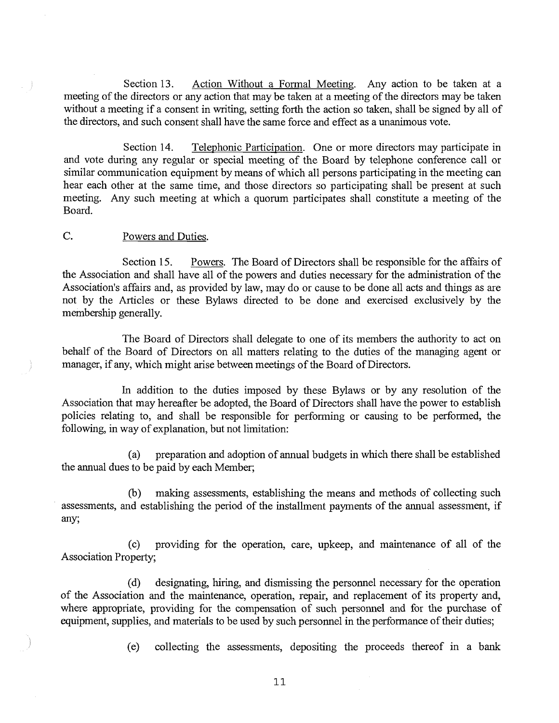Section 13. Action Without a Formal Meeting. Any action to be taken at a meeting of the directors or any action that may be taken at a meeting of the directors may be taken without a meeting if a consent in writing, setting forth the action so taken, shall be signed by all of the directors, and such consent shall have the same force and effect as a unanimous vote.

Section 14. Telephonic Participation. One or more directors may participate in and vote during any regular or special meeting of the Board by telephone conference call or similar communication equipment by means of which all persons participating in the meeting can hear each other at the same time, and those directors so participating shall be present at such meeting. Any such meeting at which a quorum participates shall constitute a meeting of the Board.

#### C. Powers and Duties.

Section 15. Powers. The Board of Directors shall be responsible for the affairs of the Association and shall have all of the powers and duties necessary for the administration of the Association's affairs and, as provided by law, may do or cause to be done all acts and things as are not by the Articles or these Bylaws directed to be done and exercised exclusively by the membership generally.

The Board of Directors shall delegate to one of its members the authority to act on behalf of the Board of Directors on all matters relating to the duties of the managing agent or manager, if any, which might arise between meetings of the Board of Directors.

In addition to the duties imposed by these Bylaws or by any resolution of the Association that may hereafter be adopted, the Board of Directors shall have the power to establish policies relating to, and shall be responsible for performing or causing to be performed, the following, in way of explanation, but not limitation:

(a) preparation and adoption of annual budgets in which there shall be established the annual dues to be paid by each Member;

(b) making assessments, establishing the means and methods of collecting such assessments, and establishing the period of the installment payments of the annual assessment, if any;

(c) providing for the operation, care, upkeep, and maintenance of all of the Association Property;

(d) designating, hiring, and dismissing the personnel necessary for the operation of the Association and the maintenance, operation, repair, and replacement of its property and, where appropriate, providing for the compensation of such personnel and for the purchase of equipment, supplies, and materials to be used by such personnel in the performance of their duties;

(e) collecting the assessments, depositing the proceeds thereof in a bank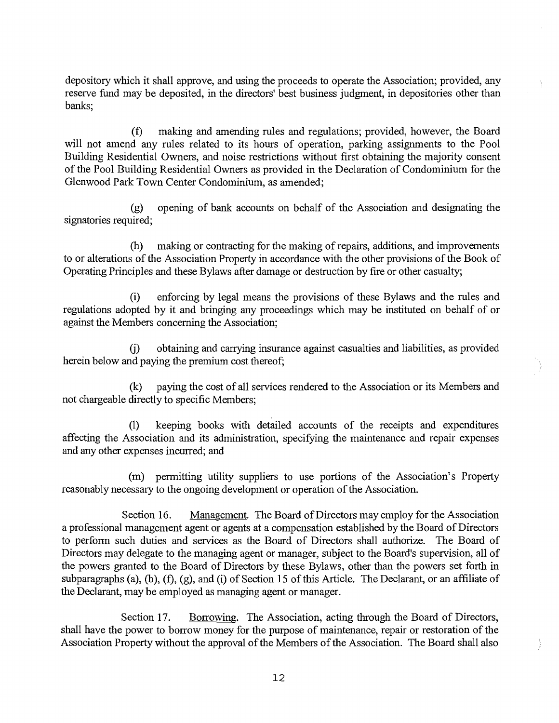depository which it shall approve, and using the proceeds to operate the Association; provided, any reserve fund may be deposited, in the directors' best business judgment, in depositories other than banks;

(f) making and amending rules and regulations; provided, however, the Board will not amend any rules related to its hours of operation, parking assignments to the Pool Building Residential Owners, and noise restrictions without first obtaining the majority consent of the Pool Building Residential Owners as provided in the Declaration of Condominium for the Glenwood Park Town Center Condominium, as amended;

(g) opening of bank accounts on behalf of the Association and designating the signatories required;

(h) making or contracting for the making of repairs, additions, and improvements to or alterations of the Association Property in accordance with the other provisions of the Book of Operating Principles and these Bylaws after damage or destruction by fire or other casualty;

(i) enforcing by legal means the provisions of these Bylaws and the rules and regulations adopted by it and bringing any proceedings which may be instituted on behalf of or against the Members concerning the Association;

(j) obtaining and carrying insurance against casualties and liabilities, as provided herein below and paying the premium cost thereof;

(k) paying the cost of all services rendered to the Association or its Members and not chargeable directly to specific Members;

(1) keeping books with detailed accounts of the receipts and expenditures affecting the Association and its administration, specifying the maintenance and repair expenses and any other expenses incurred; and

(m) permitting utility suppliers to use portions of the Association's Property reasonably necessary to the ongoing development or operation of the Association.

Section 16. Management. The Board of Directors may employ for the Association a professional management agent or agents at a compensation established by the Board of Directors to perform such duties and services as the Board of Directors shall authorize. The Board of Directors may delegate to the managing agent or manager, subject to the Board's supervision, all of the powers granted to the Board of Directors by these Bylaws, other than the powers set forth in subparagraphs (a), (b), (f), (g), and (i) of Section 15 of this Article. The Declarant, or an affiliate of the Declarant, may be employed as managing agent or manager.

Section 17. Borrowing. The Association, acting through the Board of Directors, shall have the power to borrow money for the purpose of maintenance, repair or restoration of the Association Property without the approval of the Members of the Association. The Board shall also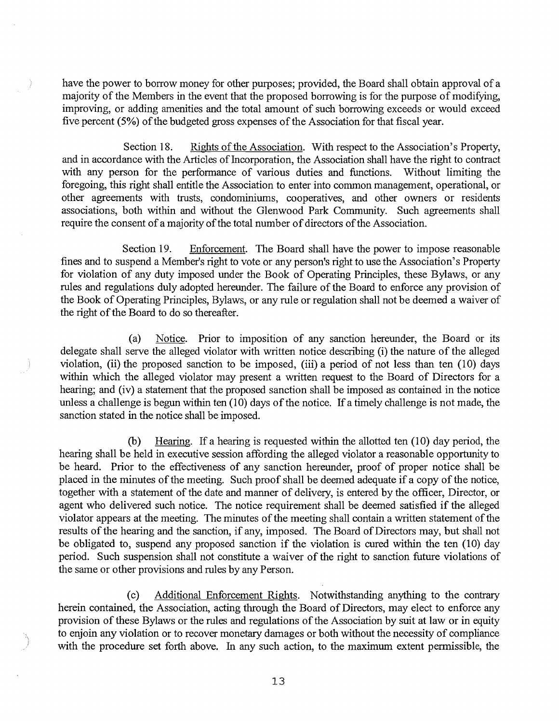have the power to borrow money for other purposes; provided, the Board shall obtain approval of a majority of the Members in the event that the proposed borrowing is for the purpose of modifying, improving, or adding amenities and the total amount of such borrowing exceeds or would exceed five percent (5%) of the budgeted gross expenses of the Association for that fiscal year.

Section 18. Rights of the Association. With respect to the Association's Property, and in accordance with the Articles of Incorporation, the Association shall have the right to contract with any person for the performance of various duties and functions. Without limiting the foregoing, this right shall entitle the Association to enter into common management, operational, or other agreements with trusts, condominiums, cooperatives, and other owners or residents associations, both within and without the Glenwood Park Community. Such agreements shall require the consent of a majority of the total number of directors of the Association.

Section 19. Enforcement. The Board shall have the power to impose reasonable fines and to suspend a Member's right to vote or any person's right to use the Association's Property for violation of any duty imposed under the Book of Operating Principles, these Bylaws, or any rules and regulations duly adopted hereunder. The failure of the Board to enforce any provision of the Book of Operating Principles, Bylaws, or any rule or regulation shall not be deemed a waiver of the right of the Board to do so thereafter.

(a) Notice. Prior to imposition of any sanction hereunder, the Board or its delegate shall serve the alleged violator with written notice describing (i) the nature of the alleged violation, (ii) the proposed sanction to be imposed, (iii) a period of not less than ten (10) days within which the alleged violator may present a written request to the Board of Directors for a hearing; and (iv) a statement that the proposed sanction shall be imposed as contained in the notice unless a challenge is begun within ten (10) days of the notice. If a timely challenge is not made, the sanction stated in the notice shall be imposed.

(b) Hearing. If a hearing is requested within the allotted ten  $(10)$  day period, the hearing shall be held in executive session affording the alleged violator a reasonable opportunity to be heard. Prior to the effectiveness of any sanction hereunder, proof of proper notice shall be placed in the minutes of the meeting. Such proof shall be deemed adequate if a copy of the notice, together with a statement of the date and manner of delivery, is entered by the officer, Director, or agent who delivered such notice. The notice requirement shall be deemed satisfied if the alleged violator appears at the meeting. The minutes of the meeting shall contain a written statement of the results of the hearing and the sanction, if any, imposed. The Board of Directors may, but shall not be obligated to, suspend any proposed sanction if the violation is cured within the ten (10) day period. Such suspension shall not constitute a waiver of the right to sanction future violations of the same or other provisions and rules by any Person.

(c) Additional Enforcement Rights. Notwithstanding anything to the contrary herein contained, the Association, acting through the Board of Directors, may elect to enforce any provision of these Bylaws or the rules and regulations of the Association by suit at law or in equity to enjoin any violation or to recover monetary damages or both without the necessity of compliance with the procedure set forth above. In any such action, to the maximum extent permissible, the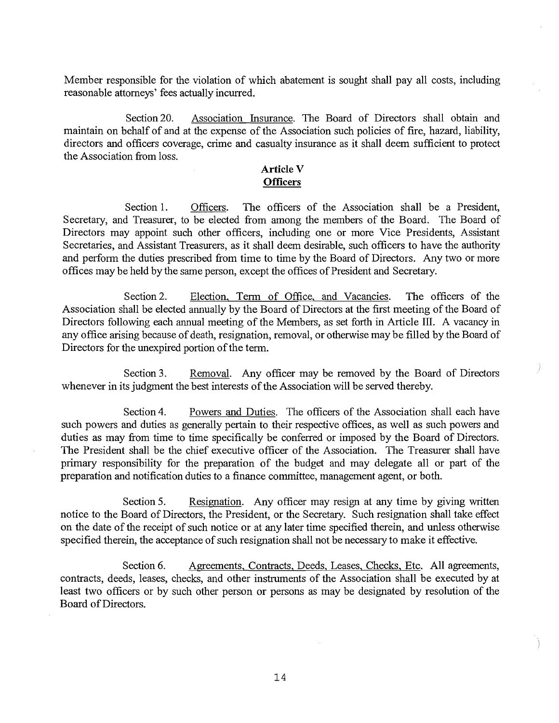Member responsible for the violation of which abatement is sought shall pay all costs, including reasonable attorneys' fees actually incurred.

Section 20. Association Insurance. The Board of Directors shall obtain and maintain on behalf of and at the expense of the Association such policies of fire, hazard, liability, directors and officers coverage, crime and casualty insurance as it shall deem sufficient to protect the Association from loss.

#### **Article V Officers**

Section 1. Officers. The officers of the Association shall be a President, Secretary, and Treasurer, to be elected from among the members of the Board. The Board of Directors may appoint such other officers, including one or more Vice Presidents, Assistant Secretaries, and Assistant Treasurers, as it shall deem desirable, such officers to have the authority and perform the duties prescribed from time to time by the Board of Directors. Any two or more offices may be held by the same person, except the offices of President and Secretary.

Section 2. Election, Term of Office, and Vacancies. The officers of the Association shall be elected annually by the Board of Directors at the first meeting of the Board of Directors following each annual meeting of the Members, as set forth in Article **III.** A vacancy in any office arising because of death, resignation, removal, or otherwise may be filled by the Board of Directors for the unexpired portion of the term.

Section 3. Removal. Any officer may be removed by the Board of Directors whenever in its judgment the best interests of the Association will be served thereby.

Section 4. Powers and Duties. The officers of the Association shall each have such powers and duties as generally pertain to their respective offices, as well as such powers and duties as may from time to time specifically be conferred or imposed by the Board of Directors. The President shall be the chief executive officer of the Association. The Treasurer shall have primary responsibility for the preparation of the budget and may delegate all or part of the preparation and notification duties to a finance committee, management agent, or both.

Section 5. Resignation. Any officer may resign at any time by giving written notice to the Board of Directors, the President, or the Secretary. Such resignation shall take effect on the date of the receipt of such notice or at any later time specified therein, and unless otherwise specified therein, the acceptance of such resignation shall not be necessary to make it effective.

Section 6. Agreements, Contracts, Deeds, Leases, Checks, Etc. All agreements, contracts, deeds, leases, checks, and other instruments of the Association shall be executed by at least two officers or by such other person or persons as may be designated by resolution of the Board of Directors.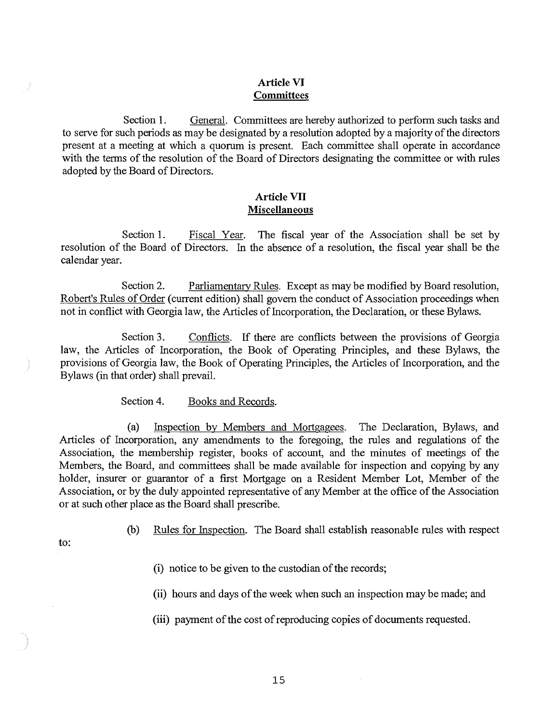#### **Article VI Committees**

Section 1. General. Committees are hereby authorized to perform such tasks and to serve for such periods as may be designated by a resolution adopted by a majority of the directors present at a meeting at which a quorum is present. Each committee shall operate in accordance with the terms of the resolution of the Board of Directors designating the committee or with rules adopted by the Board of Directors.

#### **Article VII Miscellaneous**

Section 1. **Fiscal Year.** The fiscal year of the Association shall be set by resolution of the Board of Directors. In the absence of a resolution, the fiscal year shall be the calendar year.

Section 2. Parliamentary Rules. Except as may be modified by Board resolution, Robert's Rules of Order (current edition) shall govern the conduct of Association proceedings when not in conflict with Georgia law, the Articles of Incorporation, the Declaration, or these Bylaws.

Section 3. Conflicts. If there are conflicts between the provisions of Georgia law, the Articles of Incorporation, the Book of Operating Principles, and these Bylaws, the provisions of Georgia law, the Book of Operating Principles, the Articles of Incorporation, and the Bylaws (in that order) shall prevail.

Section 4. Books and Records.

(a) Inspection by Members and Mortgagees. The Declaration, Bylaws, and Articles of Incorporation, any amendments to the foregoing, the rules and regulations of the Association, the membership register, books of account, and the minutes of meetings of the Members, the Board, and committees shall be made available for inspection and copying by any holder, insurer or guarantor of a first Mortgage on a Resident Member Lot, Member of the Association, or by the duly appointed representative of any Member at the office of the Association or at such other place as the Board shall prescribe.

- to:
- (b) Rules for Inspection. The Board shall establish reasonable rules with respect
	- (i) notice to be given to the custodian of the records;
	- (ii) hours and days of the week when such an inspection may be made; and
	- (iii) payment of the cost of reproducing copies of documents requested.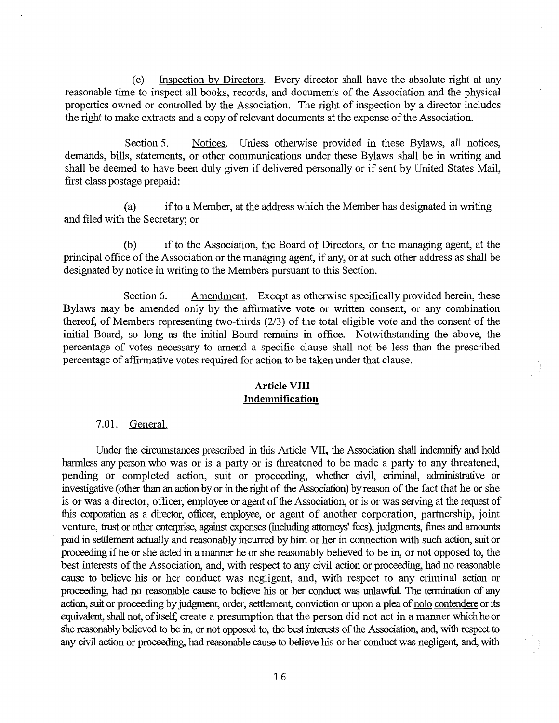(c) Inspection by Directors. Every director shall have the absolute right at any reasonable time to inspect all books, records, and documents of the Association and the physical properties owned or controlled by the Association. The right of inspection by a director includes the right to make extracts and a copy of relevant documents at the expense of the Association.

Section 5. Notices. Unless otherwise provided in these Bylaws, all notices, demands, bills, statements, or other communications under these Bylaws shall be in writing and shall be deemed to have been duly given if delivered personally or if sent by United States Mail, first class postage prepaid:

(a) if to a Member, at the address which the Member has designated in writing and filed with the Secretary; or

(b) if to the Association, the Board of Directors, or the managing agent, at the principal office of the Association or the managing agent, if any, or at such other address as shall be designated by notice in writing to the Members pursuant to this Section.

Section 6. Amendment. Except as otherwise specifically provided herein, these Bylaws may be amended only by the affirmative vote or written consent, or any combination thereof, of Members representing two-thirds (2/3) of the total eligible vote and the consent of the initial Board, so long as the initial Board remains in office. Notwithstanding the above, the percentage of votes necessary to amend a specific clause shall not be less than the prescribed percentage of affirmative votes required for action to be taken under that clause.

#### **Article VIII Indemnification**

7.01. General.

Under the circumstances prescribed in this Article VII, the Association shall indemnify and hold harmless any person who was or is a party or is threatened to be made a party to any threatened, pending or completed action, suit or proceeding, whether civil, criminal, administrative or investigative (other than an action by or in the right of the Association) by reason of the fact that he or she is or was a director, officer, employee or agent of the Association, or is or was serving at the request of this corporation as a director, officer, employee, or agent of another corporation, partnership, joint venture, trust or other enterprise, against expenses (including attorneys' fees), judgments, fines and amounts paid in settlement actually and reasonably incurred by him or her in connection with such action, suit or proceeding if he or she acted in a manner he or she reasonably believed to be in, or not opposed to, the best interests of the Association, and, with respect to any civil action or proceeding, had no reasonable cause to believe his or her conduct was negligent, and, with respect to any criminal action or proceeding, had no reasonable cause to believe his or her conduct was unlawful. The termination of any action, suit or proceeding by judgment, order, settlement, conviction or upon a plea of nolo contendere or its equivalent, shall not, of itself; create a presumption that the person did not act in a manner which he or she reasonably believed to be in, or not opposed to, the best interests of the Association, and, with respect to any civil action or proceeding had reasonable cause to believe his or her conduct was negligent, and, with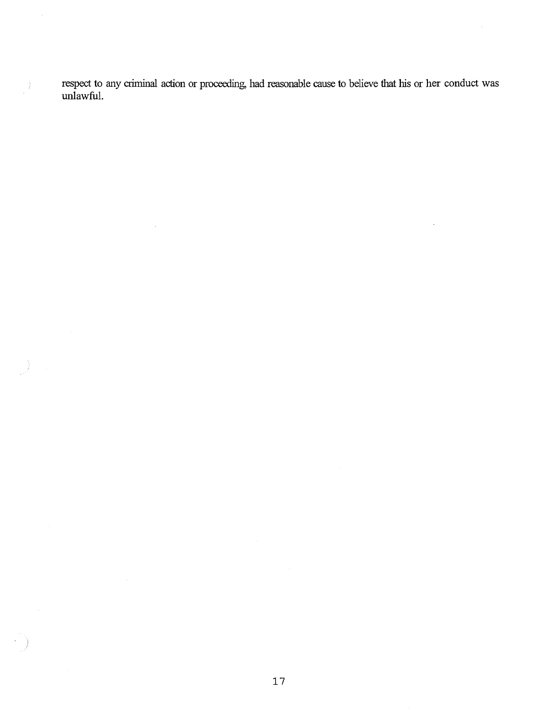respect to any criminal action or proceeding, had reasonable cause to believe that his or her conduct was unlawful.

 $\hat{\mathcal{A}}$ 

 $\bar{\mathcal{L}}$ 

 $\cdot$ 

 $\begin{pmatrix} 1 \\ I \\ \vdots \\ I \end{pmatrix}$ 

 $\frac{1}{\sqrt{2}}$